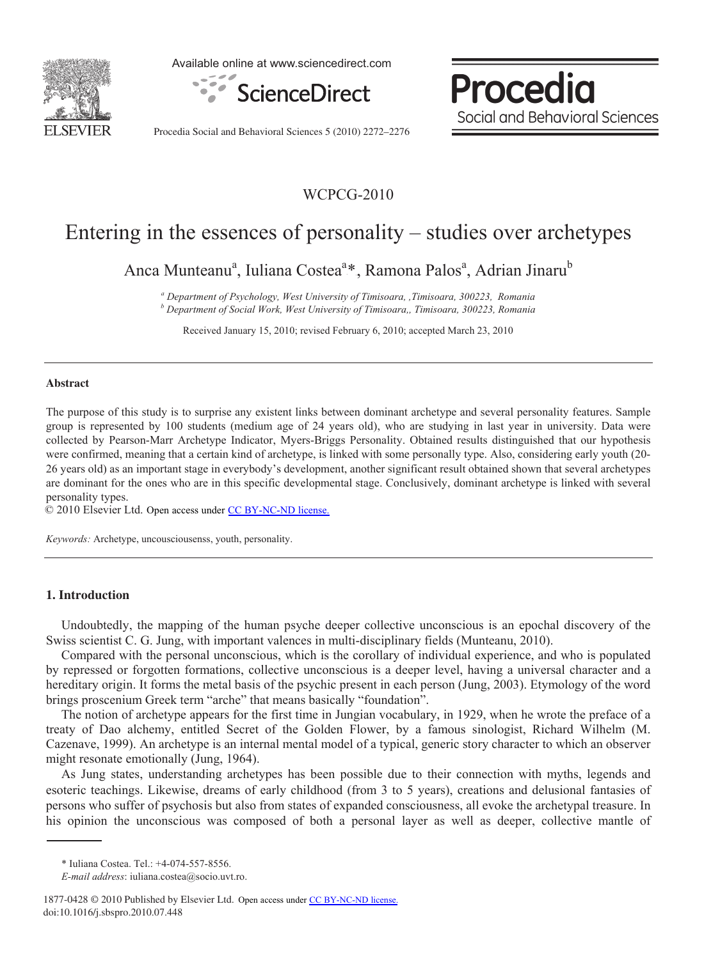

Available online at www.sciencedirect.com



Procedia Social and Behavioral Sciences

Procedia Social and Behavioral Sciences 5 (2010) 2272–2276

# WCPCG-2010

# Entering in the essences of personality – studies over archetypes

Anca Munteanu<sup>a</sup>, Iuliana Costea<sup>a</sup>\*, Ramona Palos<sup>a</sup>, Adrian Jinaru<sup>b</sup>

*a Department of Psychology, West University of Timisoara, ,Timisoara, 300223, Romania b Department of Social Work, West University of Timisoara,, Timisoara, 300223, Romania* 

Received January 15, 2010; revised February 6, 2010; accepted March 23, 2010

## **Abstract**

The purpose of this study is to surprise any existent links between dominant archetype and several personality features. Sample group is represented by 100 students (medium age of 24 years old), who are studying in last year in university. Data were collected by Pearson-Marr Archetype Indicator, Myers-Briggs Personality. Obtained results distinguished that our hypothesis were confirmed, meaning that a certain kind of archetype, is linked with some personally type. Also, considering early youth (20- 26 years old) as an important stage in everybody's development, another significant result obtained shown that several archetypes are dominant for the ones who are in this specific developmental stage. Conclusively, dominant archetype is linked with several personality types.

© 2010 Elsevier Ltd. Open access under [CC BY-NC-ND license.](http://creativecommons.org/licenses/by-nc-nd/3.0/)

*Keywords:* Archetype, uncousciousenss, youth, personality.

# **1. Introduction**

Undoubtedly, the mapping of the human psyche deeper collective unconscious is an epochal discovery of the Swiss scientist C. G. Jung, with important valences in multi-disciplinary fields (Munteanu, 2010).

Compared with the personal unconscious, which is the corollary of individual experience, and who is populated by repressed or forgotten formations, collective unconscious is a deeper level, having a universal character and a hereditary origin. It forms the metal basis of the psychic present in each person (Jung, 2003). Etymology of the word brings proscenium Greek term "arche" that means basically "foundation".

The notion of archetype appears for the first time in Jungian vocabulary, in 1929, when he wrote the preface of a treaty of Dao alchemy, entitled Secret of the Golden Flower, by a famous sinologist, Richard Wilhelm (M. Cazenave, 1999). An archetype is an internal mental model of a typical, generic story character to which an observer might resonate emotionally (Jung, 1964).

As Jung states, understanding archetypes has been possible due to their connection with myths, legends and esoteric teachings. Likewise, dreams of early childhood (from 3 to 5 years), creations and delusional fantasies of persons who suffer of psychosis but also from states of expanded consciousness, all evoke the archetypal treasure. In his opinion the unconscious was composed of both a personal layer as well as deeper, collective mantle of

<sup>\*</sup> Iuliana Costea. Tel.: +4-074-557-8556.

*E-mail address*: iuliana.costea@socio.uvt.ro.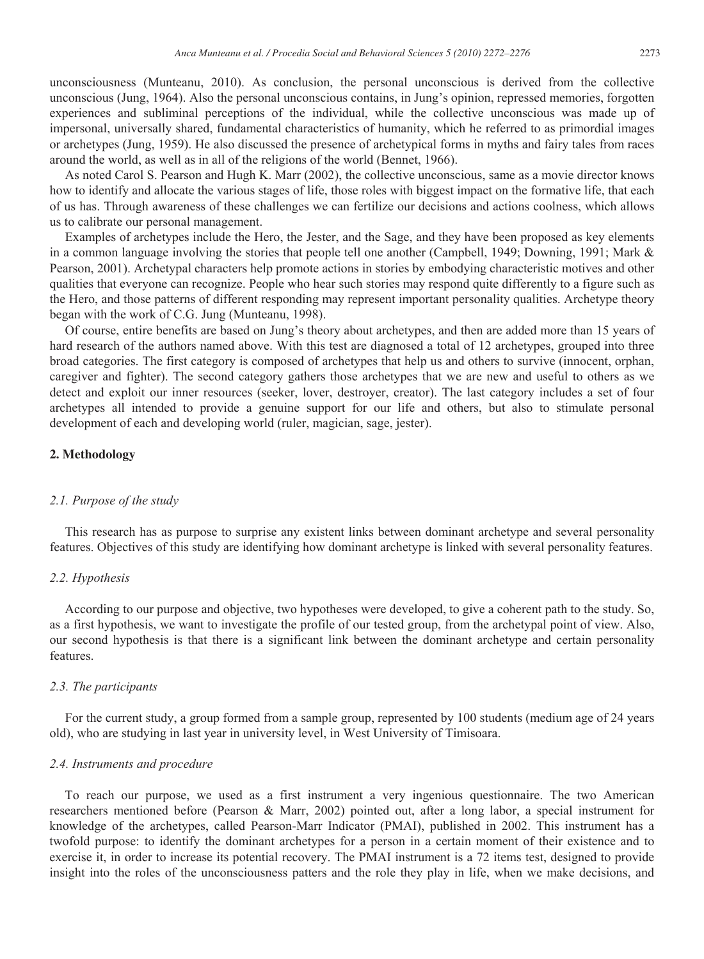unconsciousness (Munteanu, 2010). As conclusion, the personal unconscious is derived from the collective unconscious (Jung, 1964). Also the personal unconscious contains, in Jung's opinion, repressed memories, forgotten experiences and subliminal perceptions of the individual, while the collective unconscious was made up of impersonal, universally shared, fundamental characteristics of humanity, which he referred to as primordial images or archetypes (Jung, 1959). He also discussed the presence of archetypical forms in myths and fairy tales from races around the world, as well as in all of the religions of the world (Bennet, 1966).

As noted Carol S. Pearson and Hugh K. Marr (2002), the collective unconscious, same as a movie director knows how to identify and allocate the various stages of life, those roles with biggest impact on the formative life, that each of us has. Through awareness of these challenges we can fertilize our decisions and actions coolness, which allows us to calibrate our personal management.

Examples of archetypes include the Hero, the Jester, and the Sage, and they have been proposed as key elements in a common language involving the stories that people tell one another (Campbell, 1949; Downing, 1991; Mark & Pearson, 2001). Archetypal characters help promote actions in stories by embodying characteristic motives and other qualities that everyone can recognize. People who hear such stories may respond quite differently to a figure such as the Hero, and those patterns of different responding may represent important personality qualities. Archetype theory began with the work of C.G. Jung (Munteanu, 1998).

Of course, entire benefits are based on Jung's theory about archetypes, and then are added more than 15 years of hard research of the authors named above. With this test are diagnosed a total of 12 archetypes, grouped into three broad categories. The first category is composed of archetypes that help us and others to survive (innocent, orphan, caregiver and fighter). The second category gathers those archetypes that we are new and useful to others as we detect and exploit our inner resources (seeker, lover, destroyer, creator). The last category includes a set of four archetypes all intended to provide a genuine support for our life and others, but also to stimulate personal development of each and developing world (ruler, magician, sage, jester).

# **2. Methodology**

#### *2.1. Purpose of the study*

This research has as purpose to surprise any existent links between dominant archetype and several personality features. Objectives of this study are identifying how dominant archetype is linked with several personality features.

# *2.2. Hypothesis*

According to our purpose and objective, two hypotheses were developed, to give a coherent path to the study. So, as a first hypothesis, we want to investigate the profile of our tested group, from the archetypal point of view. Also, our second hypothesis is that there is a significant link between the dominant archetype and certain personality features.

#### *2.3. The participants*

For the current study, a group formed from a sample group, represented by 100 students (medium age of 24 years old), who are studying in last year in university level, in West University of Timisoara.

#### *2.4. Instruments and procedure*

To reach our purpose, we used as a first instrument a very ingenious questionnaire. The two American researchers mentioned before (Pearson & Marr, 2002) pointed out, after a long labor, a special instrument for knowledge of the archetypes, called Pearson-Marr Indicator (PMAI), published in 2002. This instrument has a twofold purpose: to identify the dominant archetypes for a person in a certain moment of their existence and to exercise it, in order to increase its potential recovery. The PMAI instrument is a 72 items test, designed to provide insight into the roles of the unconsciousness patters and the role they play in life, when we make decisions, and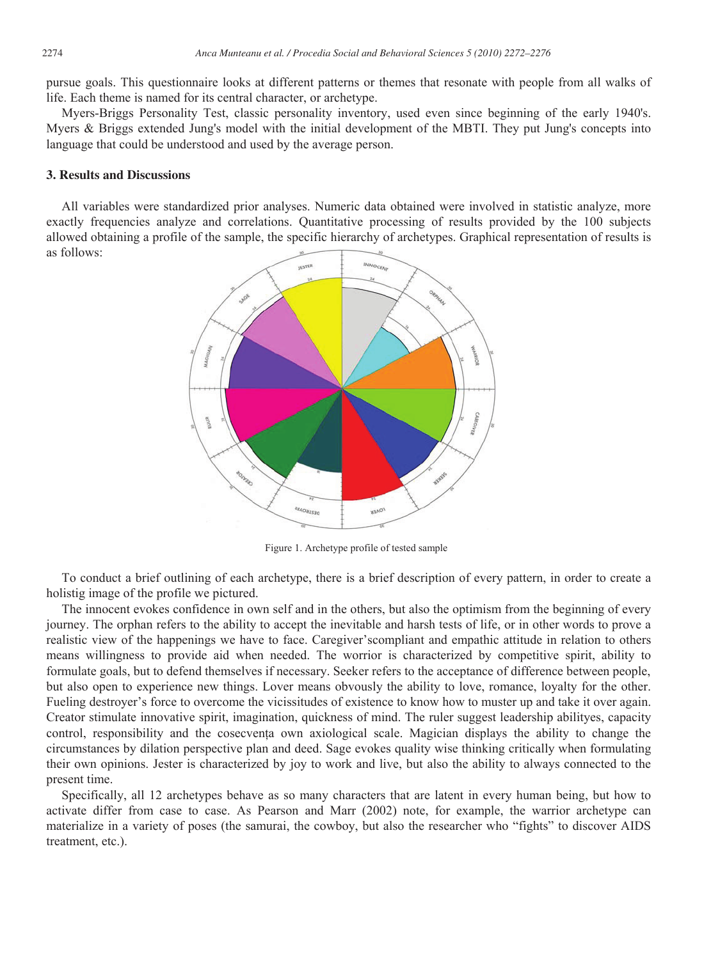pursue goals. This questionnaire looks at different patterns or themes that resonate with people from all walks of life. Each theme is named for its central character, or archetype.

Myers-Briggs Personality Test, classic personality inventory, used even since beginning of the early 1940's. Myers & Briggs extended Jung's model with the initial development of the MBTI. They put Jung's concepts into language that could be understood and used by the average person.

# **3. Results and Discussions**

All variables were standardized prior analyses. Numeric data obtained were involved in statistic analyze, more exactly frequencies analyze and correlations. Quantitative processing of results provided by the 100 subjects allowed obtaining a profile of the sample, the specific hierarchy of archetypes. Graphical representation of results is as follows:



Figure 1. Archetype profile of tested sample

To conduct a brief outlining of each archetype, there is a brief description of every pattern, in order to create a holistig image of the profile we pictured.

The innocent evokes confidence in own self and in the others, but also the optimism from the beginning of every journey. The orphan refers to the ability to accept the inevitable and harsh tests of life, or in other words to prove a realistic view of the happenings we have to face. Caregiver'scompliant and empathic attitude in relation to others means willingness to provide aid when needed. The worrior is characterized by competitive spirit, ability to formulate goals, but to defend themselves if necessary. Seeker refers to the acceptance of difference between people, but also open to experience new things. Lover means obvously the ability to love, romance, loyalty for the other. Fueling destroyer's force to overcome the vicissitudes of existence to know how to muster up and take it over again. Creator stimulate innovative spirit, imagination, quickness of mind. The ruler suggest leadership abilityes, capacity control, responsibility and the cosecventa own axiological scale. Magician displays the ability to change the circumstances by dilation perspective plan and deed. Sage evokes quality wise thinking critically when formulating their own opinions. Jester is characterized by joy to work and live, but also the ability to always connected to the present time.

Specifically, all 12 archetypes behave as so many characters that are latent in every human being, but how to activate differ from case to case. As Pearson and Marr (2002) note, for example, the warrior archetype can materialize in a variety of poses (the samurai, the cowboy, but also the researcher who "fights" to discover AIDS treatment, etc.).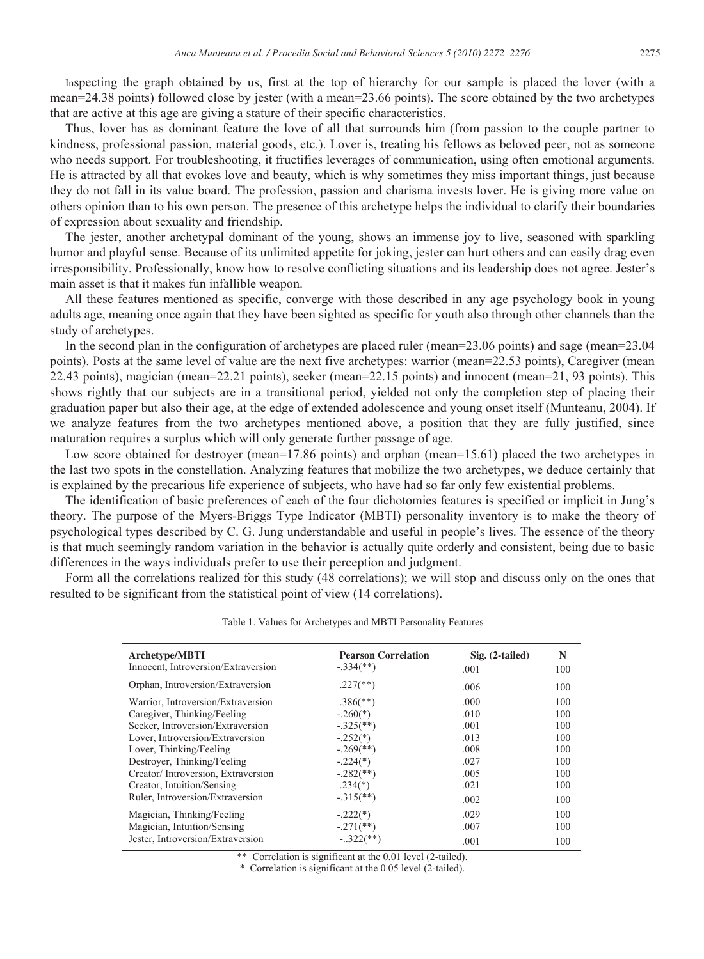Inspecting the graph obtained by us, first at the top of hierarchy for our sample is placed the lover (with a mean=24.38 points) followed close by jester (with a mean=23.66 points). The score obtained by the two archetypes that are active at this age are giving a stature of their specific characteristics.

Thus, lover has as dominant feature the love of all that surrounds him (from passion to the couple partner to kindness, professional passion, material goods, etc.). Lover is, treating his fellows as beloved peer, not as someone who needs support. For troubleshooting, it fructifies leverages of communication, using often emotional arguments. He is attracted by all that evokes love and beauty, which is why sometimes they miss important things, just because they do not fall in its value board. The profession, passion and charisma invests lover. He is giving more value on others opinion than to his own person. The presence of this archetype helps the individual to clarify their boundaries of expression about sexuality and friendship.

The jester, another archetypal dominant of the young, shows an immense joy to live, seasoned with sparkling humor and playful sense. Because of its unlimited appetite for joking, jester can hurt others and can easily drag even irresponsibility. Professionally, know how to resolve conflicting situations and its leadership does not agree. Jester's main asset is that it makes fun infallible weapon.

All these features mentioned as specific, converge with those described in any age psychology book in young adults age, meaning once again that they have been sighted as specific for youth also through other channels than the study of archetypes.

In the second plan in the configuration of archetypes are placed ruler (mean=23.06 points) and sage (mean=23.04 points). Posts at the same level of value are the next five archetypes: warrior (mean=22.53 points), Caregiver (mean 22.43 points), magician (mean=22.21 points), seeker (mean=22.15 points) and innocent (mean=21, 93 points). This shows rightly that our subjects are in a transitional period, yielded not only the completion step of placing their graduation paper but also their age, at the edge of extended adolescence and young onset itself (Munteanu, 2004). If we analyze features from the two archetypes mentioned above, a position that they are fully justified, since maturation requires a surplus which will only generate further passage of age.

Low score obtained for destroyer (mean=17.86 points) and orphan (mean=15.61) placed the two archetypes in the last two spots in the constellation. Analyzing features that mobilize the two archetypes, we deduce certainly that is explained by the precarious life experience of subjects, who have had so far only few existential problems.

The identification of basic preferences of each of the four dichotomies features is specified or implicit in Jung's theory. The purpose of the Myers-Briggs Type Indicator (MBTI) personality inventory is to make the theory of psychological types described by C. G. Jung understandable and useful in people's lives. The essence of the theory is that much seemingly random variation in the behavior is actually quite orderly and consistent, being due to basic differences in the ways individuals prefer to use their perception and judgment.

Form all the correlations realized for this study (48 correlations); we will stop and discuss only on the ones that resulted to be significant from the statistical point of view (14 correlations).

| <b>Archetype/MBTI</b><br>Innocent, Introversion/Extraversion | <b>Pearson Correlation</b><br>$-.334$ <sup>**</sup> ) | $Sig. (2-tailed)$ | N   |
|--------------------------------------------------------------|-------------------------------------------------------|-------------------|-----|
|                                                              |                                                       | .001              | 100 |
| Orphan, Introversion/Extraversion                            | $.227$ <sup>(**)</sup> )                              | .006              | 100 |
| Warrior, Introversion/Extraversion                           | $.386$ <sup>(**)</sup> )                              | .000              | 100 |
| Caregiver, Thinking/Feeling                                  | $-.260(*)$                                            | .010              | 100 |
| Seeker, Introversion/Extraversion                            | $-.325$ <sup>**</sup> )                               | .001              | 100 |
| Lover, Introversion/Extraversion                             | $-.252(*)$                                            | .013              | 100 |
| Lover, Thinking/Feeling                                      | $-.269$ <sup>**</sup> )                               | .008              | 100 |
| Destroyer, Thinking/Feeling                                  | $-.224(*)$                                            | .027              | 100 |
| Creator/Introversion, Extraversion                           | $-.282$ <sup>**</sup> )                               | .005              | 100 |
| Creator, Intuition/Sensing                                   | $.234(*)$                                             | .021              | 100 |
| Ruler, Introversion/Extraversion                             | $-.315$ <sup>**</sup> )                               | .002              | 100 |
| Magician, Thinking/Feeling                                   | $-.222(*)$                                            | .029              | 100 |
| Magician, Intuition/Sensing                                  | $-.271$ (**)                                          | .007              | 100 |
| Jester, Introversion/Extraversion                            | $-.322$ (**)                                          | .001              | 100 |

#### Table 1. Values for Archetypes and MBTI Personality Features

\*\* Correlation is significant at the 0.01 level (2-tailed).

\* Correlation is significant at the 0.05 level (2-tailed).